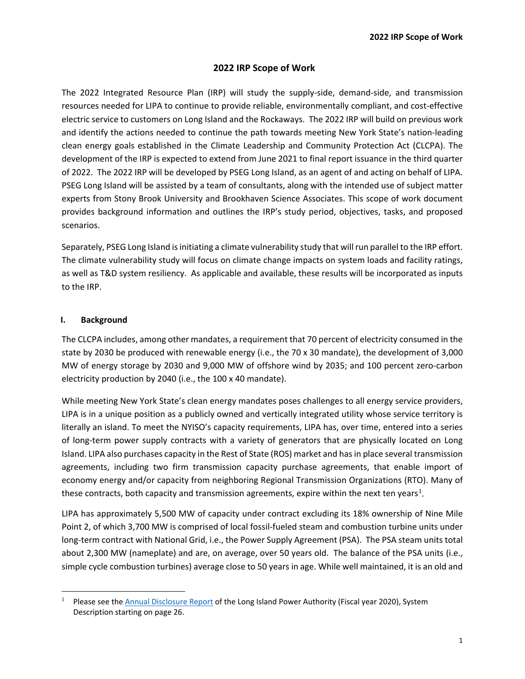### **2022 IRP Scope of Work**

The 2022 Integrated Resource Plan (IRP) will study the supply-side, demand-side, and transmission resources needed for LIPA to continue to provide reliable, environmentally compliant, and cost-effective electric service to customers on Long Island and the Rockaways. The 2022 IRP will build on previous work and identify the actions needed to continue the path towards meeting New York State's nation-leading clean energy goals established in the Climate Leadership and Community Protection Act (CLCPA). The development of the IRP is expected to extend from June 2021 to final report issuance in the third quarter of 2022. The 2022 IRP will be developed by PSEG Long Island, as an agent of and acting on behalf of LIPA. PSEG Long Island will be assisted by a team of consultants, along with the intended use of subject matter experts from Stony Brook University and Brookhaven Science Associates. This scope of work document provides background information and outlines the IRP's study period, objectives, tasks, and proposed scenarios.

Separately, PSEG Long Island is initiating a climate vulnerability study that will run parallel to the IRP effort. The climate vulnerability study will focus on climate change impacts on system loads and facility ratings, as well as T&D system resiliency. As applicable and available, these results will be incorporated as inputs to the IRP.

### **I. Background**

 $\overline{a}$ 

The CLCPA includes, among other mandates, a requirement that 70 percent of electricity consumed in the state by 2030 be produced with renewable energy (i.e., the 70 x 30 mandate), the development of 3,000 MW of energy storage by 2030 and 9,000 MW of offshore wind by 2035; and 100 percent zero-carbon electricity production by 2040 (i.e., the 100 x 40 mandate).

While meeting New York State's clean energy mandates poses challenges to all energy service providers, LIPA is in a unique position as a publicly owned and vertically integrated utility whose service territory is literally an island. To meet the NYISO's capacity requirements, LIPA has, over time, entered into a series of long-term power supply contracts with a variety of generators that are physically located on Long Island. LIPA also purchases capacity in the Rest of State (ROS) market and has in place several transmission agreements, including two firm transmission capacity purchase agreements, that enable import of economy energy and/or capacity from neighboring Regional Transmission Organizations (RTO). Many of these contracts, both capacity and transmission agreements, expire within the next ten years<sup>[1](#page-0-0)</sup>.

LIPA has approximately 5,500 MW of capacity under contract excluding its 18% ownership of Nine Mile Point 2, of which 3,700 MW is comprised of local fossil-fueled steam and combustion turbine units under long-term contract with National Grid, i.e., the Power Supply Agreement (PSA). The PSA steam units total about 2,300 MW (nameplate) and are, on average, over 50 years old. The balance of the PSA units (i.e., simple cycle combustion turbines) average close to 50 years in age. While well maintained, it is an old and

<span id="page-0-0"></span><sup>&</sup>lt;sup>1</sup> Please see the [Annual Disclosure Report](https://www.lipower.org/wp-content/uploads/2021/06/Annual-Continuing-Disclosure-Report-including-financials-for-the-Fiscal-Year-2020.pdf) of the Long Island Power Authority (Fiscal year 2020), System Description starting on page 26.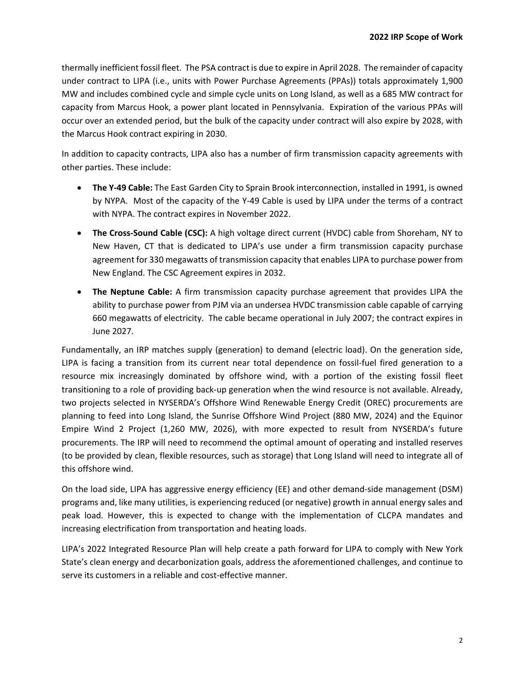thermally inefficient fossil fleet. The PSA contract is due to expire in April 2028. The remainder of capacity under contract to LIPA (i.e., units with Power Purchase Agreements (PPAs)) totals approximately 1,900 MW and includes combined cycle and simple cycle units on Long Island, as well as a 685 MW contract for capacity from Marcus Hook, a power plant located in Pennsylvania. Expiration of the various PPAs will occur over an extended period, but the bulk of the capacity under contract will also expire by 2028, with the Marcus Hook contract expiring in 2030.

In addition to capacity contracts, LIPA also has a number of firm transmission capacity agreements with other parties. These include:

- **The Y-49 Cable:** The East Garden City to Sprain Brook interconnection, installed in 1991, is owned by NYPA. Most of the capacity of the Y-49 Cable is used by LIPA under the terms of a contract with NYPA. The contract expires in November 2022.
- **The Cross-Sound Cable (CSC):** A high voltage direct current (HVDC) cable from Shoreham, NY to New Haven, CT that is dedicated to LIPA's use under a firm transmission capacity purchase agreement for 330 megawatts of transmission capacity that enables LIPA to purchase power from New England. The CSC Agreement expires in 2032.
- **The Neptune Cable:** A firm transmission capacity purchase agreement that provides LIPA the ability to purchase power from PJM via an undersea HVDC transmission cable capable of carrying 660 megawatts of electricity. The cable became operational in July 2007; the contract expires in June 2027.

Fundamentally, an IRP matches supply (generation) to demand (electric load). On the generation side, LIPA is facing a transition from its current near total dependence on fossil-fuel fired generation to a resource mix increasingly dominated by offshore wind, with a portion of the existing fossil fleet transitioning to a role of providing back-up generation when the wind resource is not available. Already, two projects selected in NYSERDA's Offshore Wind Renewable Energy Credit (OREC) procurements are planning to feed into Long Island, the Sunrise Offshore Wind Project (880 MW, 2024) and the Equinor Empire Wind 2 Project (1,260 MW, 2026), with more expected to result from NYSERDA's future procurements. The IRP will need to recommend the optimal amount of operating and installed reserves (to be provided by clean, flexible resources, such as storage) that Long Island will need to integrate all of this offshore wind.

On the load side, LIPA has aggressive energy efficiency (EE) and other demand-side management (DSM) programs and, like many utilities, is experiencing reduced (or negative) growth in annual energy sales and peak load. However, this is expected to change with the implementation of CLCPA mandates and increasing electrification from transportation and heating loads.

LIPA's 2022 Integrated Resource Plan will help create a path forward for LIPA to comply with New York State's clean energy and decarbonization goals, address the aforementioned challenges, and continue to serve its customers in a reliable and cost-effective manner.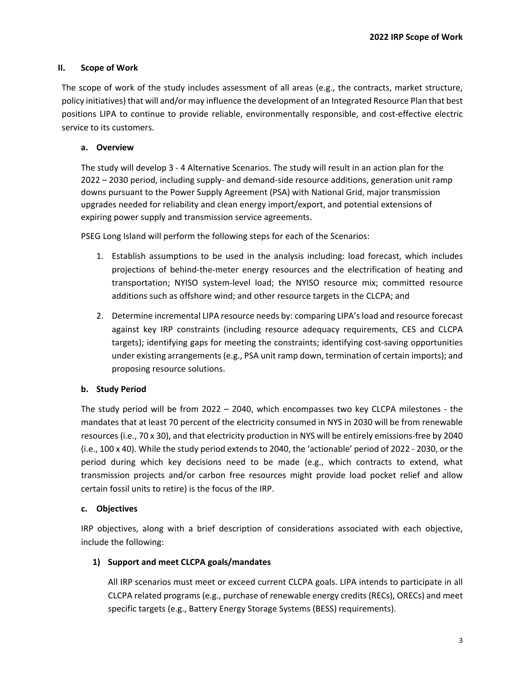### **II. Scope of Work**

The scope of work of the study includes assessment of all areas (e.g., the contracts, market structure, policy initiatives) that will and/or may influence the development of an Integrated Resource Plan that best positions LIPA to continue to provide reliable, environmentally responsible, and cost-effective electric service to its customers.

### **a. Overview**

The study will develop 3 - 4 Alternative Scenarios. The study will result in an action plan for the 2022 – 2030 period, including supply- and demand-side resource additions, generation unit ramp downs pursuant to the Power Supply Agreement (PSA) with National Grid, major transmission upgrades needed for reliability and clean energy import/export, and potential extensions of expiring power supply and transmission service agreements.

PSEG Long Island will perform the following steps for each of the Scenarios:

- 1. Establish assumptions to be used in the analysis including: load forecast, which includes projections of behind-the-meter energy resources and the electrification of heating and transportation; NYISO system-level load; the NYISO resource mix; committed resource additions such as offshore wind; and other resource targets in the CLCPA; and
- 2. Determine incremental LIPA resource needs by: comparing LIPA's load and resource forecast against key IRP constraints (including resource adequacy requirements, CES and CLCPA targets); identifying gaps for meeting the constraints; identifying cost-saving opportunities under existing arrangements (e.g., PSA unit ramp down, termination of certain imports); and proposing resource solutions.

### **b. Study Period**

The study period will be from 2022 – 2040, which encompasses two key CLCPA milestones - the mandates that at least 70 percent of the electricity consumed in NYS in 2030 will be from renewable resources (i.e., 70 x 30), and that electricity production in NYS will be entirely emissions-free by 2040 (i.e., 100 x 40). While the study period extends to 2040, the 'actionable' period of 2022 - 2030, or the period during which key decisions need to be made (e.g., which contracts to extend, what transmission projects and/or carbon free resources might provide load pocket relief and allow certain fossil units to retire) is the focus of the IRP.

### **c. Objectives**

IRP objectives, along with a brief description of considerations associated with each objective, include the following:

### **1) Support and meet CLCPA goals/mandates**

All IRP scenarios must meet or exceed current CLCPA goals. LIPA intends to participate in all CLCPA related programs (e.g., purchase of renewable energy credits (RECs), ORECs) and meet specific targets (e.g., Battery Energy Storage Systems (BESS) requirements).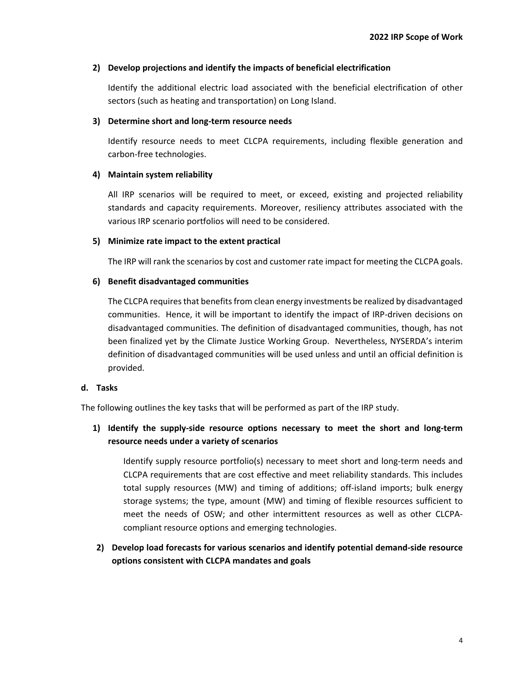### **2) Develop projections and identify the impacts of beneficial electrification**

Identify the additional electric load associated with the beneficial electrification of other sectors (such as heating and transportation) on Long Island.

### **3) Determine short and long-term resource needs**

Identify resource needs to meet CLCPA requirements, including flexible generation and carbon-free technologies.

## **4) Maintain system reliability**

All IRP scenarios will be required to meet, or exceed, existing and projected reliability standards and capacity requirements. Moreover, resiliency attributes associated with the various IRP scenario portfolios will need to be considered.

## **5) Minimize rate impact to the extent practical**

The IRP will rank the scenarios by cost and customer rate impact for meeting the CLCPA goals.

## **6) Benefit disadvantaged communities**

The CLCPA requires that benefits from clean energy investments be realized by disadvantaged communities. Hence, it will be important to identify the impact of IRP-driven decisions on disadvantaged communities. The definition of disadvantaged communities, though, has not been finalized yet by the Climate Justice Working Group. Nevertheless, NYSERDA's interim definition of disadvantaged communities will be used unless and until an official definition is provided.

## **d. Tasks**

The following outlines the key tasks that will be performed as part of the IRP study.

## **1) Identify the supply-side resource options necessary to meet the short and long-term resource needs under a variety of scenarios**

Identify supply resource portfolio(s) necessary to meet short and long-term needs and CLCPA requirements that are cost effective and meet reliability standards. This includes total supply resources (MW) and timing of additions; off-island imports; bulk energy storage systems; the type, amount (MW) and timing of flexible resources sufficient to meet the needs of OSW; and other intermittent resources as well as other CLCPAcompliant resource options and emerging technologies.

## **2) Develop load forecasts for various scenarios and identify potential demand-side resource options consistent with CLCPA mandates and goals**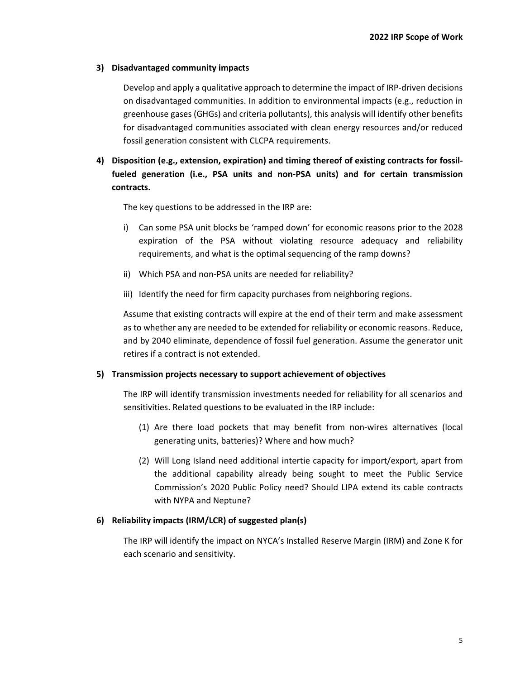### **3) Disadvantaged community impacts**

Develop and apply a qualitative approach to determine the impact of IRP-driven decisions on disadvantaged communities. In addition to environmental impacts (e.g., reduction in greenhouse gases (GHGs) and criteria pollutants), this analysis will identify other benefits for disadvantaged communities associated with clean energy resources and/or reduced fossil generation consistent with CLCPA requirements.

## **4) Disposition (e.g., extension, expiration) and timing thereof of existing contracts for fossilfueled generation (i.e., PSA units and non-PSA units) and for certain transmission contracts.**

The key questions to be addressed in the IRP are:

- i) Can some PSA unit blocks be 'ramped down' for economic reasons prior to the 2028 expiration of the PSA without violating resource adequacy and reliability requirements, and what is the optimal sequencing of the ramp downs?
- ii) Which PSA and non-PSA units are needed for reliability?
- iii) Identify the need for firm capacity purchases from neighboring regions.

Assume that existing contracts will expire at the end of their term and make assessment as to whether any are needed to be extended for reliability or economic reasons. Reduce, and by 2040 eliminate, dependence of fossil fuel generation. Assume the generator unit retires if a contract is not extended.

#### **5) Transmission projects necessary to support achievement of objectives**

The IRP will identify transmission investments needed for reliability for all scenarios and sensitivities. Related questions to be evaluated in the IRP include:

- (1) Are there load pockets that may benefit from non-wires alternatives (local generating units, batteries)? Where and how much?
- (2) Will Long Island need additional intertie capacity for import/export, apart from the additional capability already being sought to meet the Public Service Commission's 2020 Public Policy need? Should LIPA extend its cable contracts with NYPA and Neptune?

#### **6) Reliability impacts (IRM/LCR) of suggested plan(s)**

The IRP will identify the impact on NYCA's Installed Reserve Margin (IRM) and Zone K for each scenario and sensitivity.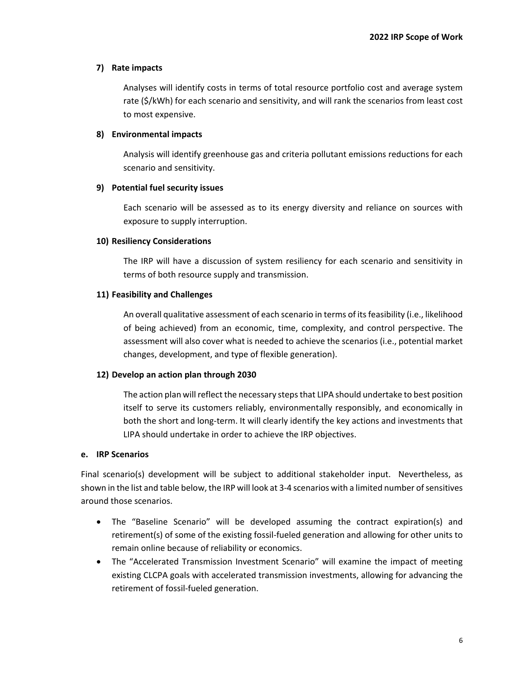### **7) Rate impacts**

Analyses will identify costs in terms of total resource portfolio cost and average system rate (\$/kWh) for each scenario and sensitivity, and will rank the scenarios from least cost to most expensive.

### **8) Environmental impacts**

Analysis will identify greenhouse gas and criteria pollutant emissions reductions for each scenario and sensitivity.

### **9) Potential fuel security issues**

Each scenario will be assessed as to its energy diversity and reliance on sources with exposure to supply interruption.

### **10) Resiliency Considerations**

The IRP will have a discussion of system resiliency for each scenario and sensitivity in terms of both resource supply and transmission.

### **11) Feasibility and Challenges**

An overall qualitative assessment of each scenario in terms of its feasibility (i.e., likelihood of being achieved) from an economic, time, complexity, and control perspective. The assessment will also cover what is needed to achieve the scenarios (i.e., potential market changes, development, and type of flexible generation).

### **12) Develop an action plan through 2030**

The action plan will reflect the necessary steps that LIPA should undertake to best position itself to serve its customers reliably, environmentally responsibly, and economically in both the short and long-term. It will clearly identify the key actions and investments that LIPA should undertake in order to achieve the IRP objectives.

#### **e. IRP Scenarios**

Final scenario(s) development will be subject to additional stakeholder input. Nevertheless, as shown in the list and table below, the IRP will look at 3-4 scenarios with a limited number of sensitives around those scenarios.

- The "Baseline Scenario" will be developed assuming the contract expiration(s) and retirement(s) of some of the existing fossil-fueled generation and allowing for other units to remain online because of reliability or economics.
- The "Accelerated Transmission Investment Scenario" will examine the impact of meeting existing CLCPA goals with accelerated transmission investments, allowing for advancing the retirement of fossil-fueled generation.